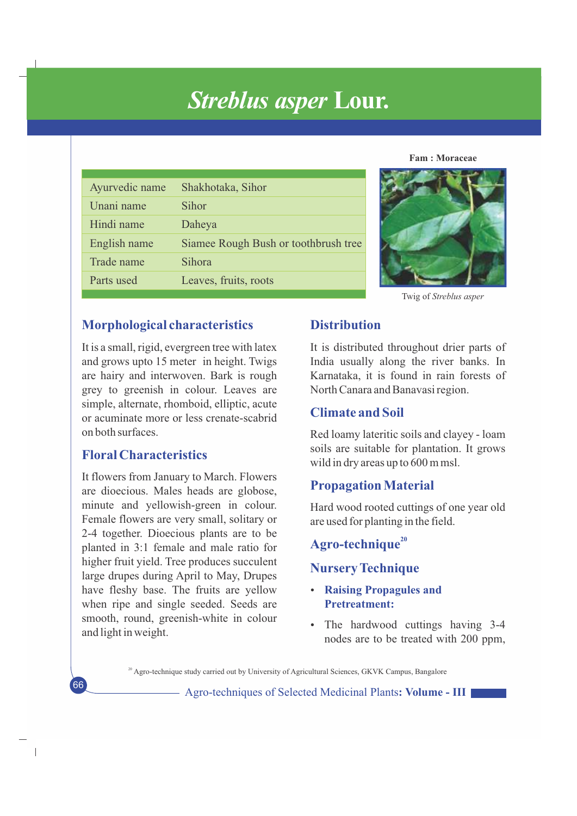# *Streblus asper* **Lour.**

|  | <b>Fam: Moraceae</b> |
|--|----------------------|
|--|----------------------|

| Ayurvedic name | Shakhotaka, Sihor                    |
|----------------|--------------------------------------|
| Unani name     | Sihor                                |
| Hindi name     | Daheya                               |
| English name   | Siamee Rough Bush or toothbrush tree |
| Trade name     | Sihora                               |
| Parts used     | Leaves, fruits, roots                |



Twig of *Streblus asper* 

## **Morphological characteristics**

It is a small, rigid, evergreen tree with latex and grows upto 15 meter in height. Twigs are hairy and interwoven. Bark is rough grey to greenish in colour. Leaves are simple, alternate, rhomboid, elliptic, acute or acuminate more or less crenate-scabrid on both surfaces.

# **Floral Characteristics**

66

 $\overline{\phantom{a}}$ 

It flowers from January to March. Flowers are dioecious. Males heads are globose, minute and yellowish-green in colour. Female flowers are very small, solitary or 2-4 together. Dioecious plants are to be planted in 3:1 female and male ratio for higher fruit yield. Tree produces succulent large drupes during April to May, Drupes have fleshy base. The fruits are yellow when ripe and single seeded. Seeds are smooth, round, greenish-white in colour and light in weight.

## **Distribution**

It is distributed throughout drier parts of India usually along the river banks. In Karnataka, it is found in rain forests of North Canara and Banavasi region.

# **Climate and Soil**

Red loamy lateritic soils and clayey - loam soils are suitable for plantation. It grows wild in dry areas up to 600 m msl.

# **Propagation Material**

Hard wood rooted cuttings of one year old are used for planting in the field.

# **<sup>20</sup> Agro-technique**

# **Nursery Technique**

- **Raising Propagules and Pretreatment:**
- The hardwood cuttings having 3-4 nodes are to be treated with 200 ppm,

<sup>20</sup> Agro-technique study carried out by University of Agricultural Sciences, GKVK Campus, Bangalore

Agro-techniques of Selected Medicinal Plants**: Volume - III**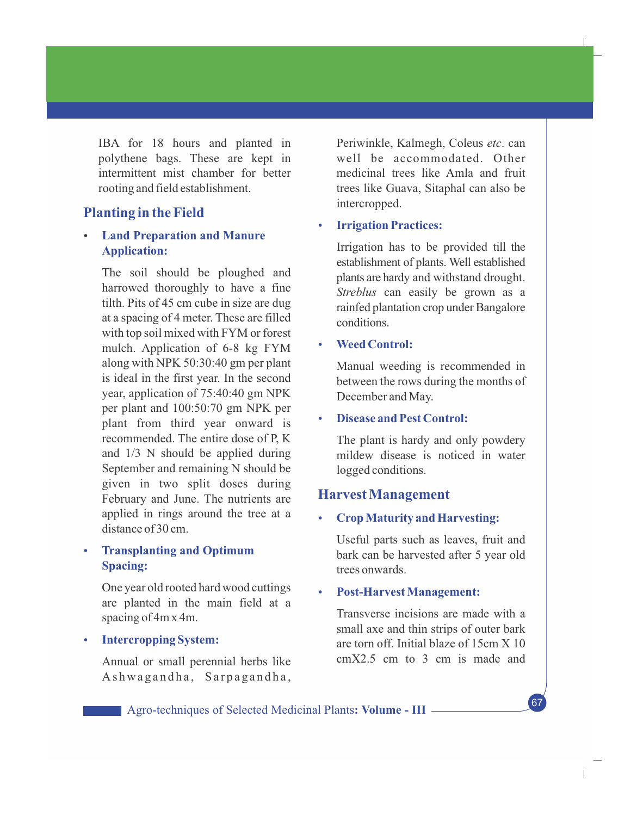IBA for 18 hours and planted in polythene bags. These are kept in intermittent mist chamber for better rooting and field establishment.

## **Planting in the Field**

## **Land Preparation and Manure Application:**

The soil should be ploughed and harrowed thoroughly to have a fine tilth. Pits of 45 cm cube in size are dug at a spacing of 4 meter. These are filled with top soil mixed with FYM or forest mulch. Application of 6-8 kg FYM along with NPK 50:30:40 gm per plant is ideal in the first year. In the second year, application of 75:40:40 gm NPK per plant and 100:50:70 gm NPK per plant from third year onward is recommended. The entire dose of P, K and 1/3 N should be applied during September and remaining N should be given in two split doses during February and June. The nutrients are applied in rings around the tree at a distance of 30 cm.

## **• Transplanting and Optimum Spacing:**

One year old rooted hard wood cuttings are planted in the main field at a spacing of 4m x 4m.

#### **Intercropping System:**

Annual or small perennial herbs like Ashwagandha, Sarpagandha, Periwinkle, Kalmegh, Coleus *etc*. can well be accommodated. Other medicinal trees like Amla and fruit trees like Guava, Sitaphal can also be intercropped.

#### **Irrigation Practices:**

Irrigation has to be provided till the establishment of plants. Well established plants are hardy and withstand drought. *Streblus* can easily be grown as a rainfed plantation crop under Bangalore conditions.

#### **Weed Control:**

Manual weeding is recommended in between the rows during the months of December and May.

#### **Disease and Pest Control:**

 The plant is hardy and only powdery mildew disease is noticed in water logged conditions.

#### **Harvest Management**

#### **Crop Maturity and Harvesting:**

Useful parts such as leaves, fruit and bark can be harvested after 5 year old trees onwards.

#### **Post-Harvest Management:**

Transverse incisions are made with a small axe and thin strips of outer bark are torn off. Initial blaze of 15cm X 10 cmX2.5 cm to 3 cm is made and

67

 $\overline{1}$ 

Agro-techniques of Selected Medicinal Plants**: Volume - III**